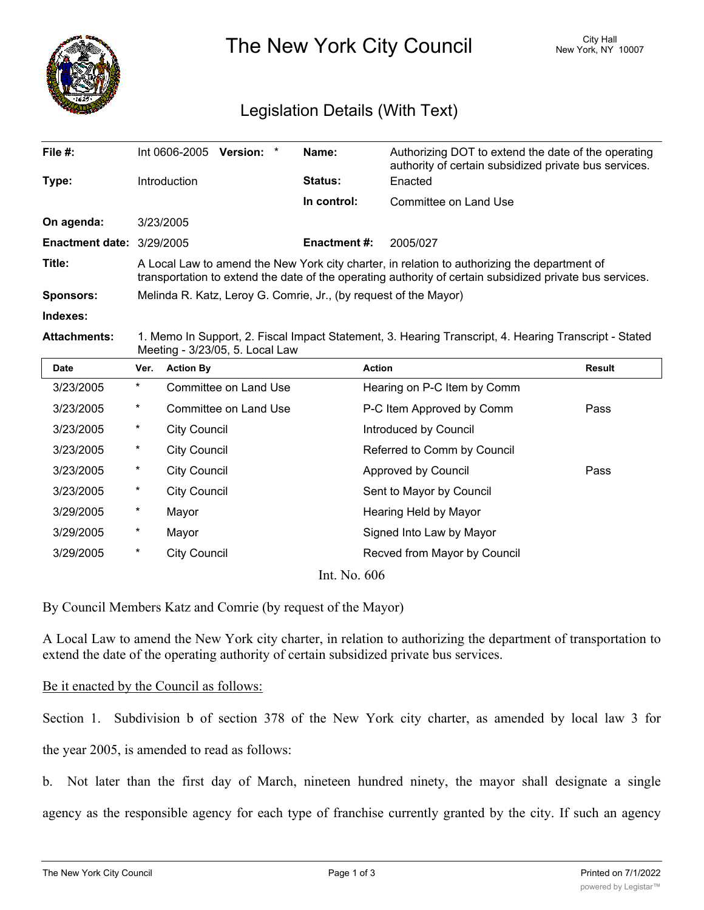

The New York City Council New York, NY 10007

## Legislation Details (With Text)

| File $#$ :                  | Version: *<br>Int 0606-2005                                                                                                                                                                              | Name:               | Authorizing DOT to extend the date of the operating<br>authority of certain subsidized private bus services. |  |  |
|-----------------------------|----------------------------------------------------------------------------------------------------------------------------------------------------------------------------------------------------------|---------------------|--------------------------------------------------------------------------------------------------------------|--|--|
| Type:                       | Introduction                                                                                                                                                                                             | <b>Status:</b>      | Enacted                                                                                                      |  |  |
|                             |                                                                                                                                                                                                          | In control:         | Committee on Land Use                                                                                        |  |  |
| On agenda:                  | 3/23/2005                                                                                                                                                                                                |                     |                                                                                                              |  |  |
| Enactment date: $3/29/2005$ |                                                                                                                                                                                                          | <b>Enactment #:</b> | 2005/027                                                                                                     |  |  |
| Title:                      | A Local Law to amend the New York city charter, in relation to authorizing the department of<br>transportation to extend the date of the operating authority of certain subsidized private bus services. |                     |                                                                                                              |  |  |
| <b>Sponsors:</b>            | Melinda R. Katz, Leroy G. Comrie, Jr., (by request of the Mayor)                                                                                                                                         |                     |                                                                                                              |  |  |
| Indexes:                    |                                                                                                                                                                                                          |                     |                                                                                                              |  |  |
|                             |                                                                                                                                                                                                          |                     |                                                                                                              |  |  |

**Attachments:** 1. Memo In Support, 2. Fiscal Impact Statement, 3. Hearing Transcript, 4. Hearing Transcript - Stated Meeting - 3/23/05, 5. Local Law

| <b>Date</b>   | Ver.     | <b>Action By</b>      | <b>Action</b>                | Result |  |
|---------------|----------|-----------------------|------------------------------|--------|--|
| 3/23/2005     | $^\star$ | Committee on Land Use | Hearing on P-C Item by Comm  |        |  |
| 3/23/2005     | $\ast$   | Committee on Land Use | P-C Item Approved by Comm    | Pass   |  |
| 3/23/2005     | $\ast$   | <b>City Council</b>   | Introduced by Council        |        |  |
| 3/23/2005     | $\ast$   | <b>City Council</b>   | Referred to Comm by Council  |        |  |
| 3/23/2005     | $\ast$   | <b>City Council</b>   | Approved by Council          | Pass   |  |
| 3/23/2005     | $\ast$   | <b>City Council</b>   | Sent to Mayor by Council     |        |  |
| 3/29/2005     | $\ast$   | Mayor                 | Hearing Held by Mayor        |        |  |
| 3/29/2005     | $^\ast$  | Mayor                 | Signed Into Law by Mayor     |        |  |
| 3/29/2005     | $\ast$   | <b>City Council</b>   | Recved from Mayor by Council |        |  |
| Int No. $606$ |          |                       |                              |        |  |

Int. No. 606

By Council Members Katz and Comrie (by request of the Mayor)

A Local Law to amend the New York city charter, in relation to authorizing the department of transportation to extend the date of the operating authority of certain subsidized private bus services.

## Be it enacted by the Council as follows:

Section 1. Subdivision b of section 378 of the New York city charter, as amended by local law 3 for the year 2005, is amended to read as follows:

b. Not later than the first day of March, nineteen hundred ninety, the mayor shall designate a single agency as the responsible agency for each type of franchise currently granted by the city. If such an agency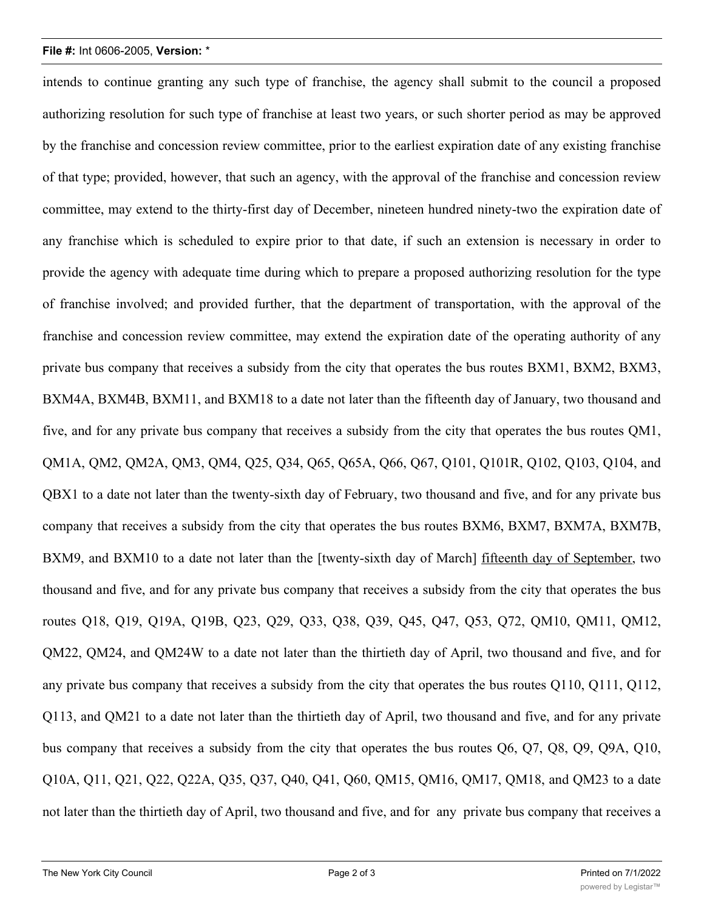## **File #:** Int 0606-2005, **Version:** \*

intends to continue granting any such type of franchise, the agency shall submit to the council a proposed authorizing resolution for such type of franchise at least two years, or such shorter period as may be approved by the franchise and concession review committee, prior to the earliest expiration date of any existing franchise of that type; provided, however, that such an agency, with the approval of the franchise and concession review committee, may extend to the thirty-first day of December, nineteen hundred ninety-two the expiration date of any franchise which is scheduled to expire prior to that date, if such an extension is necessary in order to provide the agency with adequate time during which to prepare a proposed authorizing resolution for the type of franchise involved; and provided further, that the department of transportation, with the approval of the franchise and concession review committee, may extend the expiration date of the operating authority of any private bus company that receives a subsidy from the city that operates the bus routes BXM1, BXM2, BXM3, BXM4A, BXM4B, BXM11, and BXM18 to a date not later than the fifteenth day of January, two thousand and five, and for any private bus company that receives a subsidy from the city that operates the bus routes QM1, QM1A, QM2, QM2A, QM3, QM4, Q25, Q34, Q65, Q65A, Q66, Q67, Q101, Q101R, Q102, Q103, Q104, and QBX1 to a date not later than the twenty-sixth day of February, two thousand and five, and for any private bus company that receives a subsidy from the city that operates the bus routes BXM6, BXM7, BXM7A, BXM7B, BXM9, and BXM10 to a date not later than the [twenty-sixth day of March] fifteenth day of September, two thousand and five, and for any private bus company that receives a subsidy from the city that operates the bus routes Q18, Q19, Q19A, Q19B, Q23, Q29, Q33, Q38, Q39, Q45, Q47, Q53, Q72, QM10, QM11, QM12, QM22, QM24, and QM24W to a date not later than the thirtieth day of April, two thousand and five, and for any private bus company that receives a subsidy from the city that operates the bus routes Q110, Q111, Q112, Q113, and QM21 to a date not later than the thirtieth day of April, two thousand and five, and for any private bus company that receives a subsidy from the city that operates the bus routes Q6, Q7, Q8, Q9, Q9A, Q10, Q10A, Q11, Q21, Q22, Q22A, Q35, Q37, Q40, Q41, Q60, QM15, QM16, QM17, QM18, and QM23 to a date not later than the thirtieth day of April, two thousand and five, and for any private bus company that receives a